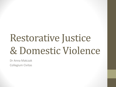# Restorative Justice & Domestic Violence

Dr Anna Matczak Collegium Civitas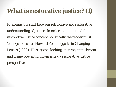### **What is restorative justice? (1)**

RJ means the shift between retributive and restorative understanding of justice. In order to understand the restorative justice concept holistically the reader must 'change lenses' as Howard Zehr suggests in Changing Lenses (1990). He suggests looking at crime, punishment and crime prevention from a new - restorative justice perspective.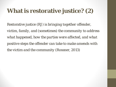### **What is restorative justice? (2)**

Restorative justice (RJ) is *bringing together offender, victim, family, and (sometimes) the community to address what happened, how the parties were affected, and what positive steps the offender can take to make amends with the victim and the community* (Rossner, 2013)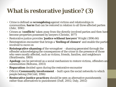### **What is restorative justice? (3)**

- Crime is defined as **wrongdoing** against victims and relationships in communities; **harm** that can be restored in relation to all three affected parties (Zehr, 1990)
- Crimes as '**conflicts'** taken away from the directly involved parties and then have become properties possessed by lawyers (Christie, 1977)
- Restorative justice provides '**justice without lawyers'** Wright (1996:66)
- Reintegration encounter that brings a **'feeling of closure'** and enable the parties involved to move on
- **Reintegrative shaming** of the wrongdoer shaming generated through the offender acknowledging the consequences of the crime in the presence of those who were mostly affected, such as victims, friends, families, and neighbours (Braithwaite, 1989)
- **Apology** can be perceived as a social mechanism to restore victims, offenders and communities (Bottoms, 2003)
- **Reparation** decided upon during the restorative encounter
- (Micro) **Community involvement**  built upon the social networks to which people belong (McCold, 1996)
- **Restorative justice practices** should be seen as alternative punishments rather than alternatives to punishment (Duff, 2002; Daly, 2002)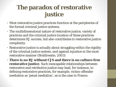### **The paradox of restorative justice**

- Most restorative justice practices function at the peripheries of the formal criminal justice systems.
- The multidimensional nature of restorative justice, variety of practices and the criminal justice location of these practices determines RJ success, but also contributes to restorative justice complexity.
- Restorative justice is actually about struggling within the rigidity of the criminal justice system, and against injustice in the most restorative manner (Braithwaite, 2003)
- **There is no RJ without CJS and there is no culture-free restorative justice**. Such inescapable relationships between restorative and retributive justice may lead, for instance, to defining restorative practices, for example, victim-offender mediation as 'penal mediation', as is the case in France.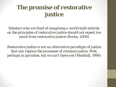### **The promise of restorative justice**

*Scholars who are fond of imagining a world built entirely on the principles of restorative justice should not expect too much from restorative justice* (Roche, 2006)

*Restorative justice is not an alternative paradigm of justice that can replace the processes of criminal justice. Well, perhaps in paradise, but we ain't there yet (*Marshall, 1996)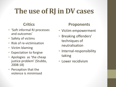## **The use of RJ in DV cases**

### **Critics**

- 'Soft informal RJ processes and outcomes'
- Safety of victims
- Risk of re-victimisation
- Victim blaming
- Expectation to forgive
- Apologies as 'the cheap justice problem' (Stubbs, 2008:18)
- Perception that the violence is minimised

### **Proponents**

- Victim empowerment
- Breaking offenders' techniques of neutralisation
- Internal-responsibility taking
- Lower recidivism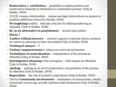- **Restoration v. retribution –** possibility to deploy positive and constructive elements of retribution in a restorative process' (Daly & Stubbs, 2006)
- CJS/RJ (uneasy relationship) women see legal interventions as ameans to mobilise additional resources (Stubbs, 2008)
- **Wrongdoing**/conflict feminist criticism for defining battering as 'disputes' (Daly & Stubbs, 2006)
- **RJ as an alternative to punishment**  'second class justice'
- **Harm ?**
- '**Justice without lawyers'**  women's capcity to exercise choice; pressure on victims to advocate on their own behalf (Daly & Stubbs, 2006)
- **'Feeling of closure' - ?**
- **Victims' empowerment v.** silence as a survival mechanism
- **Techniques of neutralisation –** manipulation of the process by offenders (Daly & Stubbs, 2006)
- **Reintegrative shaming** of the wrongdoer little impact on offenders (Daly & Stubbs, 2006)
- **Apology** apology as an act of compromise; manipulation of the process by offenders (Daly & Stubbs, 2006)
- **Reparation**  the risk of symbolic implications (Daly & Stubbs, 2006)
- (Micro) **Community involvement -** idealisation of communities, certain community norms may actually reinforce male dominance (Daly & Stubbs, 2006)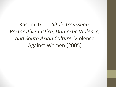Rashmi Goel: *Sita's Trousseau: Restorative Justice, Domestic Violence, and South Asian Culture*, Violence Against Women (2005)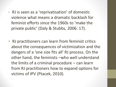- RJ is seen as a 'reprivatisation' of domestic violence what means a dramatic backlash for feminist efforts since the 1960s to 'make the private public' (Daly & Stubbs, 2006: 17).
- RJ practitioners can learn from feminist critics about the consequences of victimization and the dangers of a 'one size fits all' RJ process. On the other hand, the feminists –who well understand the limits of a criminal procedure – can learn from RJ practitioners how to expand options for victims of IPV (Ptacek, 2010).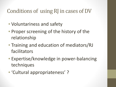### Conditions of using RJ in cases of DV

- Voluntariness and safety
- Proper screening of the history of the relationship
- Training and education of mediators/RJ facilitators
- Expertise/knowledge in power-balancing techniques
- 'Cultural appropriateness' ?